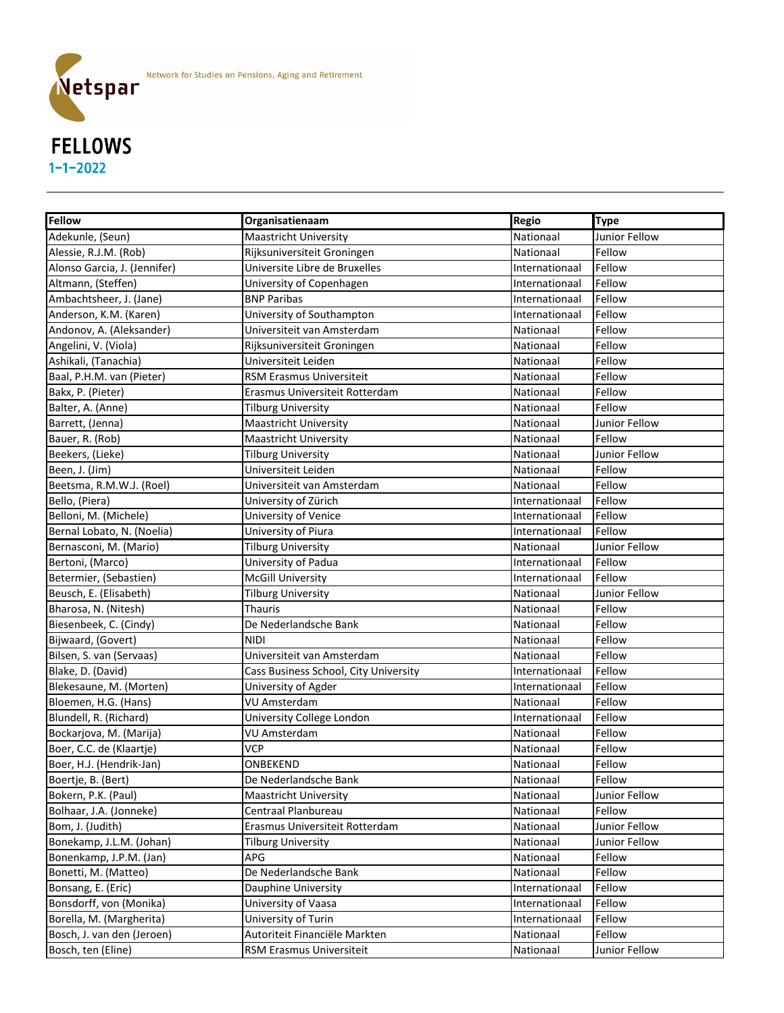

#### **Fellow Constructionary <b>Constructionary Regio Type** Adekunle, (Seun) Nationaal Maastricht University Nationaal Adekunle, Intiinis Fellow Alessie, R.J.M. (Rob) **Rijksuniversiteit Groningen** Nationaal Fellow **Rijksuniversiteit Groningen** Nationaal Fellow Alonso Garcia, J. (Jennifer) Universite Libre de Bruxelles Internationaal Fellow Altmann, (Steffen) **Internationaal External Computers** University of Copenhagen Internationaal Fellow Ambachtsheer, J. (Jane) **BNP Paribas** Internationaal Fellow Anderson, K.M. (Karen) **Internationaal Controllets** University of Southampton **Internationaal Fellow** Andonov, A. (Aleksander) Nationaal Huniversiteit van Amsterdam Nationaal Hellow Nationaal Fellow Angelini, V. (Viola) **Rijksuniversiteit Groningen** Nationaal Fellow Ashikali, (Tanachia) Universiteit Leiden Nationaal Fellow Baal, P.H.M. van (Pieter) **RSM Erasmus Universiteit** Nationaal Rellow Rellow Bakx, P. (Pieter) **Example 19 Example 1** Erasmus Universiteit Rotterdam Nationaal Pellow Balter, A. (Anne) **Example 2** Tilburg University Nationaal Hellow Nationaal Fellow Barrett, (Jenna) **Maastricht University** Nationaal Dunior Fellow Bauer, R. (Rob) **Maastricht University** Nationaal Fellow Beekers, (Lieke) **Eighters** Tilburg University Nationaal Alexander School and Tilburg University Nationaal Alexander School and Tilburg University Nationaal Alexander School and Tilburg University Nationaal Alexander Schoo Been, J. (Jim) **South Americ Accord Example 2** Universiteit Leiden Nationaal Hellow **Nationaal** Fellow Beetsma, R.M.W.J. (Roel) **Nationaal Example 2.8 Victor** Universiteit van Amsterdam Nationaal Pellow Bello, (Piera) **Ellow** University of Zürich Internationaal Fellow Belloni, M. (Michele) **Internationaal Communisty of Venice** Internationaal Fellow Bernal Lobato, N. (Noelia) **Internationaal Communisty of Piura** Internationaal Fellow Bernasconi, M. (Mario) **Tilburg University** Nationaal Junior Fellow Nationaal Junior Fellow Bertoni, (Marco) **Example 20 Internationaal Fellow** University of Padua **Internationaal Fellow** Betermier, (Sebastien) McGill University Internationaal Fellow Beusch, E. (Elisabeth) **Tilburg University** Nationaal Junior Fellow Nationaal Junior Fellow Bharosa, N. (Nitesh) **Nationaal Fellow** Thauris Nationaal Fellow Biesenbeek, C. (Cindy) **De Nederlandsche Bank** Nationaal Fellow Bijwaard, (Govert) **NIDI Nationaal Fellow** Nationaal Fellow Bilsen, S. van (Servaas) **Nationaal Eellow** van Universiteit van Amsterdam Nationaal Nationaal Pellow Blake, D. (David) **Cass Business School, City University Cass Business School**, City University **Internationaal** Fellow Blekesaune, M. (Morten) **Internationaal Communisty of Agder** Internationaal Fellow Bloemen, H.G. (Hans) Nationaal Rellow Nu Amsterdam Nationaal Fellow Nationaal Fellow Blundell, R. (Richard) **Exercise State College London** Internationaal Fellow Bockarjova, M. (Marija) November 2013 | VU Amsterdam Nationaal Nationaal Fellow Boer, C.C. de (Klaartje) **Example 2018** VCP Nationaal Reliew Boer, H.J. (Hendrik-Jan) **DIGEREND CONDITY ONBEKEND** Nationaal Fellow Boertje, B. (Bert) **B. (Bert)** De Nederlandsche Bank Nationaal Fellow Bokern, P.K. (Paul) **Example 20 India American Control Control** Nationaal Mationaal Junior Fellow Bolhaar, J.A. (Jonneke) **Centraal Planbureau** Nationaal Nationaal Fellow Bom, J. (Judith) **Examus Universiteit Rotterdam** Mationaal Junior Fellow **Nationaal** Hunior Fellow Bonekamp, J.L.M. (Johan) Tilburg University Nationaal Alexander Sunnior Fellow Bonenkamp, J.P.M. (Jan) **APG** APG Nationaal Fellow **Research APG** Nationaal Fellow Bonetti, M. (Matteo) **De Nederlandsche Bank** Nationaal Fellow Bonsang, E. (Eric) **Internationaal** Fellow **Internationaal** Fellow Bonsdorff, von (Monika) **Internationaal Executes II** University of Vaasa **Internationaal Internationaal Fellow** Borella, M. (Margherita) **Internationaal Communisty of Turin** Internationaal Fellow Bosch, J. van den (Jeroen) Autoriteit Financiële Markten Nationaal Hellow Religionaal Fellow Bosch, ten (Eline) **RGM Erasmus Universiteit** Nationaal Dividend Dunior Fellow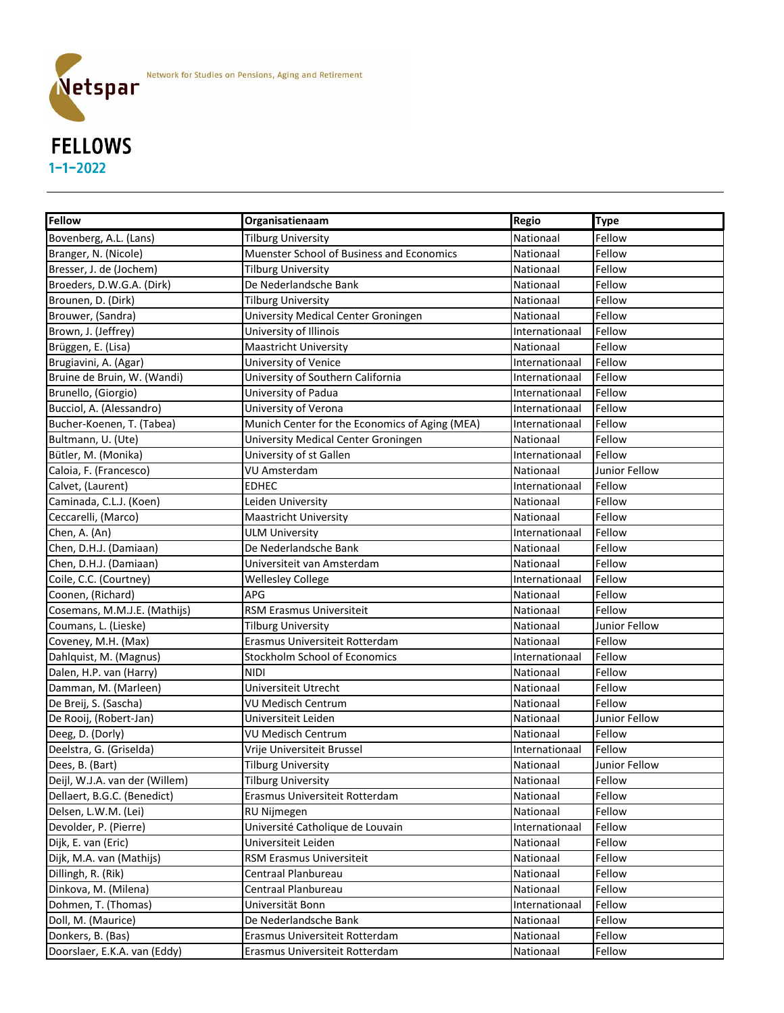

# FELLOWS 1-1-2022

| <b>Fellow</b>                  | Organisatienaam                                | <b>Regio</b>   | <b>Type</b>   |
|--------------------------------|------------------------------------------------|----------------|---------------|
| Bovenberg, A.L. (Lans)         | <b>Tilburg University</b>                      | Nationaal      | Fellow        |
| Branger, N. (Nicole)           | Muenster School of Business and Economics      | Nationaal      | Fellow        |
| Bresser, J. de (Jochem)        | <b>Tilburg University</b>                      | Nationaal      | Fellow        |
| Broeders, D.W.G.A. (Dirk)      | De Nederlandsche Bank                          | Nationaal      | Fellow        |
| Brounen, D. (Dirk)             | <b>Tilburg University</b>                      | Nationaal      | Fellow        |
| Brouwer, (Sandra)              | University Medical Center Groningen            | Nationaal      | Fellow        |
| Brown, J. (Jeffrey)            | University of Illinois                         | Internationaal | Fellow        |
| Brüggen, E. (Lisa)             | <b>Maastricht University</b>                   | Nationaal      | Fellow        |
| Brugiavini, A. (Agar)          | University of Venice                           | Internationaal | Fellow        |
| Bruine de Bruin, W. (Wandi)    | University of Southern California              | Internationaal | Fellow        |
| Brunello, (Giorgio)            | University of Padua                            | Internationaal | Fellow        |
| Bucciol, A. (Alessandro)       | University of Verona                           | Internationaal | Fellow        |
| Bucher-Koenen, T. (Tabea)      | Munich Center for the Economics of Aging (MEA) | Internationaal | Fellow        |
| Bultmann, U. (Ute)             | University Medical Center Groningen            | Nationaal      | Fellow        |
| Bütler, M. (Monika)            | University of st Gallen                        | Internationaal | Fellow        |
| Caloia, F. (Francesco)         | <b>VU Amsterdam</b>                            | Nationaal      | Junior Fellow |
| Calvet, (Laurent)              | <b>EDHEC</b>                                   | Internationaal | Fellow        |
| Caminada, C.L.J. (Koen)        | Leiden University                              | Nationaal      | Fellow        |
| Ceccarelli, (Marco)            | <b>Maastricht University</b>                   | Nationaal      | Fellow        |
| Chen, A. (An)                  | <b>ULM University</b>                          | Internationaal | Fellow        |
| Chen, D.H.J. (Damiaan)         | De Nederlandsche Bank                          | Nationaal      | Fellow        |
| Chen, D.H.J. (Damiaan)         | Universiteit van Amsterdam                     | Nationaal      | Fellow        |
| Coile, C.C. (Courtney)         | <b>Wellesley College</b>                       | Internationaal | Fellow        |
| Coonen, (Richard)              | <b>APG</b>                                     | Nationaal      | Fellow        |
| Cosemans, M.M.J.E. (Mathijs)   | RSM Erasmus Universiteit                       | Nationaal      | Fellow        |
| Coumans, L. (Lieske)           | <b>Tilburg University</b>                      | Nationaal      | Junior Fellow |
| Coveney, M.H. (Max)            | Erasmus Universiteit Rotterdam                 | Nationaal      | Fellow        |
| Dahlquist, M. (Magnus)         | Stockholm School of Economics                  | Internationaal | Fellow        |
| Dalen, H.P. van (Harry)        | <b>NIDI</b>                                    | Nationaal      | Fellow        |
| Damman, M. (Marleen)           | Universiteit Utrecht                           | Nationaal      | Fellow        |
| De Breij, S. (Sascha)          | <b>VU Medisch Centrum</b>                      | Nationaal      | Fellow        |
| De Rooij, (Robert-Jan)         | Universiteit Leiden                            | Nationaal      | Junior Fellow |
| Deeg, D. (Dorly)               | <b>VU Medisch Centrum</b>                      | Nationaal      | Fellow        |
| Deelstra, G. (Griselda)        | Vrije Universiteit Brussel                     | Internationaal | Fellow        |
| Dees, B. (Bart)                | <b>Tilburg University</b>                      | Nationaal      | Junior Fellow |
| Deijl, W.J.A. van der (Willem) | <b>Tilburg University</b>                      | Nationaal      | Fellow        |
| Dellaert, B.G.C. (Benedict)    | Erasmus Universiteit Rotterdam                 | Nationaal      | Fellow        |
| Delsen, L.W.M. (Lei)           | RU Nijmegen                                    | Nationaal      | Fellow        |
| Devolder, P. (Pierre)          | Université Catholique de Louvain               | Internationaal | Fellow        |
| Dijk, E. van (Eric)            | Universiteit Leiden                            | Nationaal      | Fellow        |
| Dijk, M.A. van (Mathijs)       | RSM Erasmus Universiteit                       | Nationaal      | Fellow        |
| Dillingh, R. (Rik)             | Centraal Planbureau                            | Nationaal      | Fellow        |
| Dinkova, M. (Milena)           | Centraal Planbureau                            | Nationaal      | Fellow        |
| Dohmen, T. (Thomas)            | Universität Bonn                               | Internationaal | Fellow        |
| Doll, M. (Maurice)             | De Nederlandsche Bank                          | Nationaal      | Fellow        |
| Donkers, B. (Bas)              | Erasmus Universiteit Rotterdam                 | Nationaal      | Fellow        |
| Doorslaer, E.K.A. van (Eddy)   | Erasmus Universiteit Rotterdam                 | Nationaal      | Fellow        |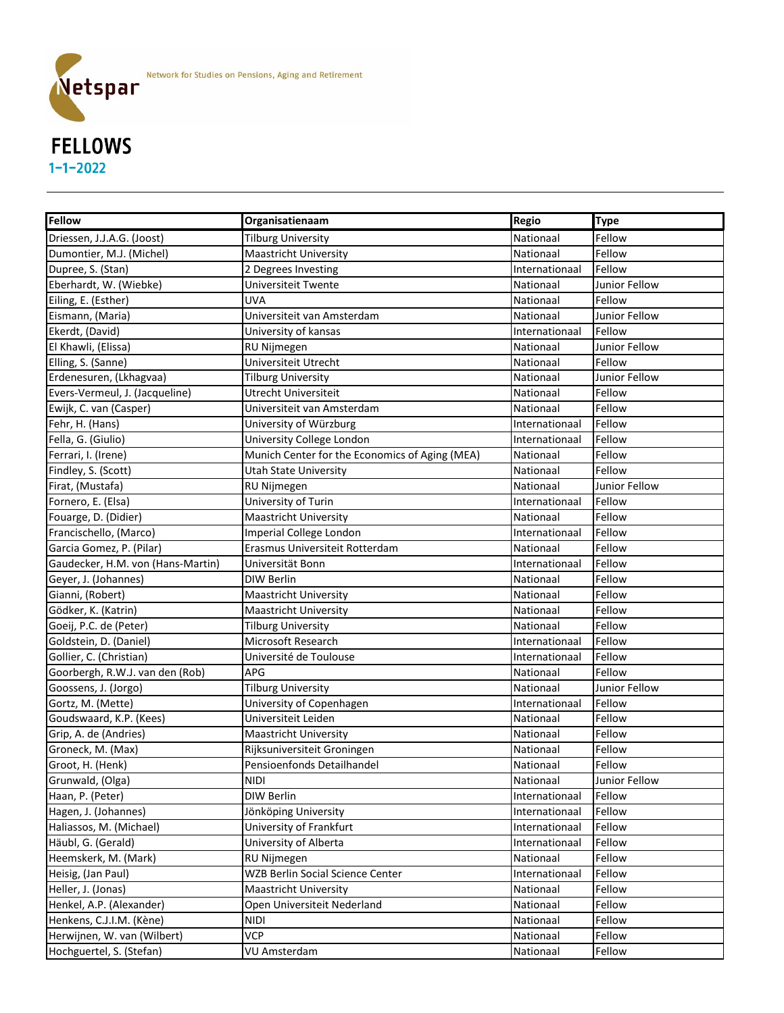

# 1-1-2022

| <b>Fellow</b>                     | Organisatienaam                                | <b>Regio</b>   | <b>Type</b>   |
|-----------------------------------|------------------------------------------------|----------------|---------------|
| Driessen, J.J.A.G. (Joost)        | <b>Tilburg University</b>                      | Nationaal      | Fellow        |
| Dumontier, M.J. (Michel)          | <b>Maastricht University</b>                   | Nationaal      | Fellow        |
| Dupree, S. (Stan)                 | 2 Degrees Investing                            | Internationaal | Fellow        |
| Eberhardt, W. (Wiebke)            | Universiteit Twente                            | Nationaal      | Junior Fellow |
| Eiling, E. (Esther)               | <b>UVA</b>                                     | Nationaal      | Fellow        |
| Eismann, (Maria)                  | Universiteit van Amsterdam                     | Nationaal      | Junior Fellow |
| Ekerdt, (David)                   | University of kansas                           | Internationaal | Fellow        |
| El Khawli, (Elissa)               | <b>RU Nijmegen</b>                             | Nationaal      | Junior Fellow |
| Elling, S. (Sanne)                | Universiteit Utrecht                           | Nationaal      | Fellow        |
| Erdenesuren, (Lkhagvaa)           | <b>Tilburg University</b>                      | Nationaal      | Junior Fellow |
| Evers-Vermeul, J. (Jacqueline)    | <b>Utrecht Universiteit</b>                    | Nationaal      | Fellow        |
| Ewijk, C. van (Casper)            | Universiteit van Amsterdam                     | Nationaal      | Fellow        |
| Fehr, H. (Hans)                   | University of Würzburg                         | Internationaal | Fellow        |
| Fella, G. (Giulio)                | University College London                      | Internationaal | Fellow        |
| Ferrari, I. (Irene)               | Munich Center for the Economics of Aging (MEA) | Nationaal      | Fellow        |
| Findley, S. (Scott)               | <b>Utah State University</b>                   | Nationaal      | Fellow        |
| Firat, (Mustafa)                  | RU Nijmegen                                    | Nationaal      | Junior Fellow |
| Fornero, E. (Elsa)                | University of Turin                            | Internationaal | Fellow        |
| Fouarge, D. (Didier)              | Maastricht University                          | Nationaal      | Fellow        |
| Francischello, (Marco)            | Imperial College London                        | Internationaal | Fellow        |
| Garcia Gomez, P. (Pilar)          | Erasmus Universiteit Rotterdam                 | Nationaal      | Fellow        |
| Gaudecker, H.M. von (Hans-Martin) | Universität Bonn                               | Internationaal | Fellow        |
| Geyer, J. (Johannes)              | <b>DIW Berlin</b>                              | Nationaal      | Fellow        |
| Gianni, (Robert)                  | <b>Maastricht University</b>                   | Nationaal      | Fellow        |
| Gödker, K. (Katrin)               | <b>Maastricht University</b>                   | Nationaal      | Fellow        |
| Goeij, P.C. de (Peter)            | <b>Tilburg University</b>                      | Nationaal      | Fellow        |
| Goldstein, D. (Daniel)            | Microsoft Research                             | Internationaal | Fellow        |
| Gollier, C. (Christian)           | Université de Toulouse                         | Internationaal | Fellow        |
| Goorbergh, R.W.J. van den (Rob)   | <b>APG</b>                                     | Nationaal      | Fellow        |
| Goossens, J. (Jorgo)              | <b>Tilburg University</b>                      | Nationaal      | Junior Fellow |
| Gortz, M. (Mette)                 | University of Copenhagen                       | Internationaal | Fellow        |
| Goudswaard, K.P. (Kees)           | Universiteit Leiden                            | Nationaal      | Fellow        |
| Grip, A. de (Andries)             | <b>Maastricht University</b>                   | Nationaal      | Fellow        |
| Groneck, M. (Max)                 | Rijksuniversiteit Groningen                    | Nationaal      | Fellow        |
| Groot, H. (Henk)                  | Pensioenfonds Detailhandel                     | Nationaal      | Fellow        |
| Grunwald, (Olga)                  | <b>NIDI</b>                                    | Nationaal      | Junior Fellow |
| Haan, P. (Peter)                  | DIW Berlin                                     | Internationaal | Fellow        |
| Hagen, J. (Johannes)              | Jönköping University                           | Internationaal | Fellow        |
| Haliassos, M. (Michael)           | University of Frankfurt                        | Internationaal | Fellow        |
| Häubl, G. (Gerald)                | University of Alberta                          | Internationaal | Fellow        |
| Heemskerk, M. (Mark)              | RU Nijmegen                                    | Nationaal      | Fellow        |
| Heisig, (Jan Paul)                | <b>WZB Berlin Social Science Center</b>        | Internationaal | Fellow        |
| Heller, J. (Jonas)                | <b>Maastricht University</b>                   | Nationaal      | Fellow        |
| Henkel, A.P. (Alexander)          | Open Universiteit Nederland                    | Nationaal      | Fellow        |
| Henkens, C.J.I.M. (Kène)          | <b>NIDI</b>                                    | Nationaal      | Fellow        |
| Herwijnen, W. van (Wilbert)       | <b>VCP</b>                                     | Nationaal      | Fellow        |
| Hochguertel, S. (Stefan)          | VU Amsterdam                                   | Nationaal      | Fellow        |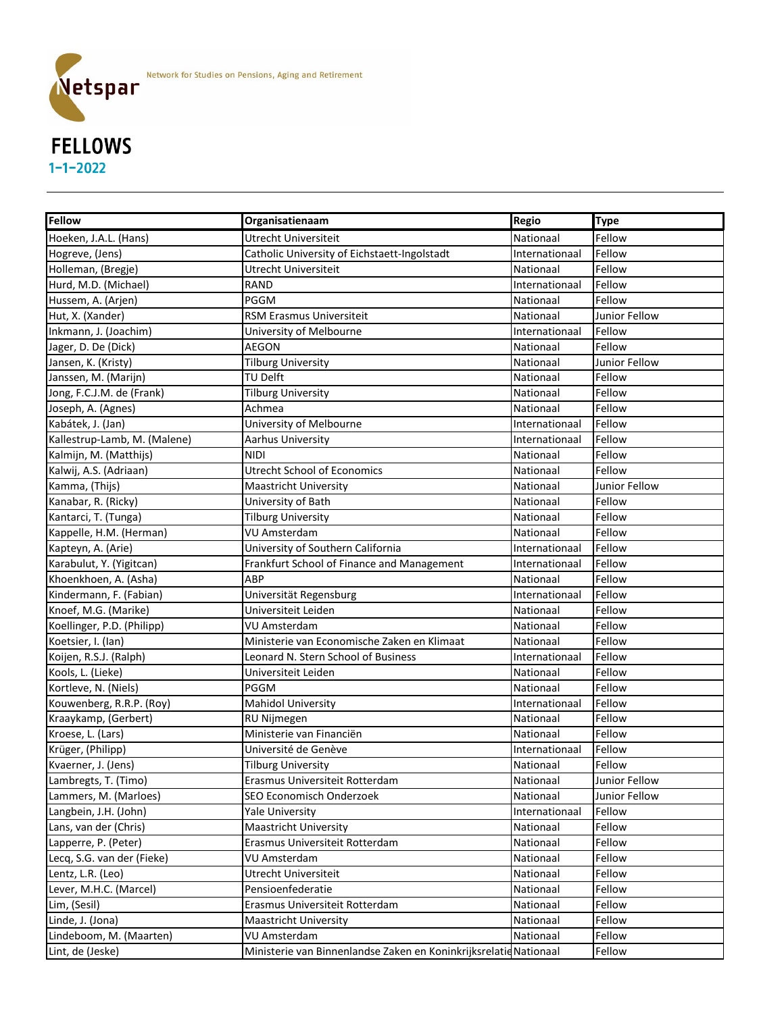

### FELLOWS 1-1-2022

| <b>Fellow</b>                | Organisatienaam                                                   | Regio          | <b>Type</b>   |
|------------------------------|-------------------------------------------------------------------|----------------|---------------|
| Hoeken, J.A.L. (Hans)        | Utrecht Universiteit                                              | Nationaal      | Fellow        |
| Hogreve, (Jens)              | Catholic University of Eichstaett-Ingolstadt                      | Internationaal | Fellow        |
| Holleman, (Bregje)           | <b>Utrecht Universiteit</b>                                       | Nationaal      | Fellow        |
| Hurd, M.D. (Michael)         | <b>RAND</b>                                                       | Internationaal | Fellow        |
| Hussem, A. (Arjen)           | PGGM                                                              | Nationaal      | Fellow        |
| Hut, X. (Xander)             | RSM Erasmus Universiteit                                          | Nationaal      | Junior Fellow |
| Inkmann, J. (Joachim)        | University of Melbourne                                           | Internationaal | Fellow        |
| Jager, D. De (Dick)          | <b>AEGON</b>                                                      | Nationaal      | Fellow        |
| Jansen, K. (Kristy)          | <b>Tilburg University</b>                                         | Nationaal      | Junior Fellow |
| Janssen, M. (Marijn)         | TU Delft                                                          | Nationaal      | Fellow        |
| Jong, F.C.J.M. de (Frank)    | <b>Tilburg University</b>                                         | Nationaal      | Fellow        |
| Joseph, A. (Agnes)           | Achmea                                                            | Nationaal      | Fellow        |
| Kabátek, J. (Jan)            | University of Melbourne                                           | Internationaal | Fellow        |
| Kallestrup-Lamb, M. (Malene) | <b>Aarhus University</b>                                          | Internationaal | Fellow        |
| Kalmijn, M. (Matthijs)       | <b>NIDI</b>                                                       | Nationaal      | Fellow        |
| Kalwij, A.S. (Adriaan)       | <b>Utrecht School of Economics</b>                                | Nationaal      | Fellow        |
| Kamma, (Thijs)               | <b>Maastricht University</b>                                      | Nationaal      | Junior Fellow |
| Kanabar, R. (Ricky)          | University of Bath                                                | Nationaal      | Fellow        |
| Kantarci, T. (Tunga)         | <b>Tilburg University</b>                                         | Nationaal      | Fellow        |
| Kappelle, H.M. (Herman)      | <b>VU Amsterdam</b>                                               | Nationaal      | Fellow        |
| Kapteyn, A. (Arie)           | University of Southern California                                 | Internationaal | Fellow        |
| Karabulut, Y. (Yigitcan)     | Frankfurt School of Finance and Management                        | Internationaal | Fellow        |
| Khoenkhoen, A. (Asha)        | ABP                                                               | Nationaal      | Fellow        |
| Kindermann, F. (Fabian)      | Universität Regensburg                                            | Internationaal | Fellow        |
| Knoef, M.G. (Marike)         | Universiteit Leiden                                               | Nationaal      | Fellow        |
| Koellinger, P.D. (Philipp)   | <b>VU Amsterdam</b>                                               | Nationaal      | Fellow        |
| Koetsier, I. (Ian)           | Ministerie van Economische Zaken en Klimaat                       | Nationaal      | Fellow        |
| Koijen, R.S.J. (Ralph)       | Leonard N. Stern School of Business                               | Internationaal | Fellow        |
| Kools, L. (Lieke)            | Universiteit Leiden                                               | Nationaal      | Fellow        |
| Kortleve, N. (Niels)         | <b>PGGM</b>                                                       | Nationaal      | Fellow        |
| Kouwenberg, R.R.P. (Roy)     | <b>Mahidol University</b>                                         | Internationaal | Fellow        |
| Kraaykamp, (Gerbert)         | RU Nijmegen                                                       | Nationaal      | Fellow        |
| Kroese, L. (Lars)            | Ministerie van Financiën                                          | Nationaal      | Fellow        |
| Krüger, (Philipp)            | Université de Genève                                              | Internationaal | Fellow        |
| Kvaerner, J. (Jens)          | <b>Tilburg University</b>                                         | Nationaal      | Fellow        |
| Lambregts, T. (Timo)         | Erasmus Universiteit Rotterdam                                    | Nationaal      | Junior Fellow |
| Lammers, M. (Marloes)        | SEO Economisch Onderzoek                                          | Nationaal      | Junior Fellow |
| Langbein, J.H. (John)        | <b>Yale University</b>                                            | Internationaal | Fellow        |
| Lans, van der (Chris)        | <b>Maastricht University</b>                                      | Nationaal      | Fellow        |
| Lapperre, P. (Peter)         | Erasmus Universiteit Rotterdam                                    | Nationaal      | Fellow        |
| Lecq, S.G. van der (Fieke)   | <b>VU Amsterdam</b>                                               | Nationaal      | Fellow        |
| Lentz, L.R. (Leo)            | Utrecht Universiteit                                              | Nationaal      | Fellow        |
| Lever, M.H.C. (Marcel)       | Pensioenfederatie                                                 | Nationaal      | Fellow        |
| Lim, (Sesil)                 | Erasmus Universiteit Rotterdam                                    | Nationaal      | Fellow        |
| Linde, J. (Jona)             | <b>Maastricht University</b>                                      | Nationaal      | Fellow        |
| Lindeboom, M. (Maarten)      | <b>VU Amsterdam</b>                                               | Nationaal      | Fellow        |
| Lint, de (Jeske)             | Ministerie van Binnenlandse Zaken en Koninkrijksrelatie Nationaal |                | Fellow        |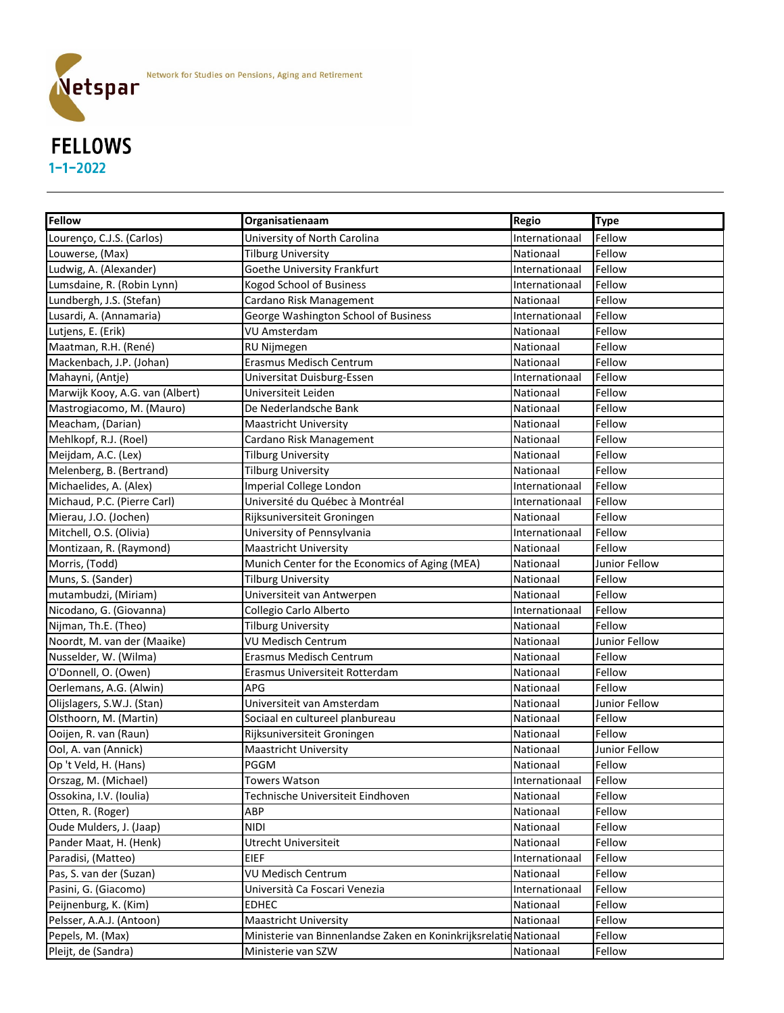

## Netspar FELLOWS 1-1-2022

| <b>Fellow</b>                   | Organisatienaam                                                   | <b>Regio</b>   | <b>Type</b>   |
|---------------------------------|-------------------------------------------------------------------|----------------|---------------|
| Lourenço, C.J.S. (Carlos)       | University of North Carolina                                      | Internationaal | Fellow        |
| Louwerse, (Max)                 | <b>Tilburg University</b>                                         | Nationaal      | Fellow        |
| Ludwig, A. (Alexander)          | Goethe University Frankfurt                                       | Internationaal | Fellow        |
| Lumsdaine, R. (Robin Lynn)      | <b>Kogod School of Business</b>                                   | Internationaal | Fellow        |
| Lundbergh, J.S. (Stefan)        | Cardano Risk Management                                           | Nationaal      | Fellow        |
| Lusardi, A. (Annamaria)         | George Washington School of Business                              | Internationaal | Fellow        |
| Lutjens, E. (Erik)              | <b>VU Amsterdam</b>                                               | Nationaal      | Fellow        |
| Maatman, R.H. (René)            | RU Nijmegen                                                       | Nationaal      | Fellow        |
| Mackenbach, J.P. (Johan)        | <b>Erasmus Medisch Centrum</b>                                    | Nationaal      | Fellow        |
| Mahayni, (Antje)                | Universitat Duisburg-Essen                                        | Internationaal | Fellow        |
| Marwijk Kooy, A.G. van (Albert) | Universiteit Leiden                                               | Nationaal      | Fellow        |
| Mastrogiacomo, M. (Mauro)       | De Nederlandsche Bank                                             | Nationaal      | Fellow        |
| Meacham, (Darian)               | <b>Maastricht University</b>                                      | Nationaal      | Fellow        |
| Mehlkopf, R.J. (Roel)           | Cardano Risk Management                                           | Nationaal      | Fellow        |
| Meijdam, A.C. (Lex)             | <b>Tilburg University</b>                                         | Nationaal      | Fellow        |
| Melenberg, B. (Bertrand)        | <b>Tilburg University</b>                                         | Nationaal      | Fellow        |
| Michaelides, A. (Alex)          | <b>Imperial College London</b>                                    | Internationaal | Fellow        |
| Michaud, P.C. (Pierre Carl)     | Université du Québec à Montréal                                   | Internationaal | Fellow        |
| Mierau, J.O. (Jochen)           | Rijksuniversiteit Groningen                                       | Nationaal      | Fellow        |
| Mitchell, O.S. (Olivia)         | University of Pennsylvania                                        | Internationaal | Fellow        |
| Montizaan, R. (Raymond)         | <b>Maastricht University</b>                                      | Nationaal      | Fellow        |
| Morris, (Todd)                  | Munich Center for the Economics of Aging (MEA)                    | Nationaal      | Junior Fellow |
| Muns, S. (Sander)               | <b>Tilburg University</b>                                         | Nationaal      | Fellow        |
| mutambudzi, (Miriam)            | Universiteit van Antwerpen                                        | Nationaal      | Fellow        |
| Nicodano, G. (Giovanna)         | Collegio Carlo Alberto                                            | Internationaal | Fellow        |
| Nijman, Th.E. (Theo)            | <b>Tilburg University</b>                                         | Nationaal      | Fellow        |
| Noordt, M. van der (Maaike)     | <b>VU Medisch Centrum</b>                                         | Nationaal      | Junior Fellow |
| Nusselder, W. (Wilma)           | <b>Erasmus Medisch Centrum</b>                                    | Nationaal      | Fellow        |
| O'Donnell, O. (Owen)            | Erasmus Universiteit Rotterdam                                    | Nationaal      | Fellow        |
| Oerlemans, A.G. (Alwin)         | <b>APG</b>                                                        | Nationaal      | Fellow        |
| Olijslagers, S.W.J. (Stan)      | Universiteit van Amsterdam                                        | Nationaal      | Junior Fellow |
| Olsthoorn, M. (Martin)          | Sociaal en cultureel planbureau                                   | Nationaal      | Fellow        |
| Ooijen, R. van (Raun)           | Rijksuniversiteit Groningen                                       | Nationaal      | Fellow        |
| Ool, A. van (Annick)            | <b>Maastricht University</b>                                      | Nationaal      | Junior Fellow |
| Op 't Veld, H. (Hans)           | PGGM                                                              | Nationaal      | Fellow        |
| Orszag, M. (Michael)            | <b>Towers Watson</b>                                              | Internationaal | Fellow        |
| Ossokina, I.V. (Ioulia)         | Technische Universiteit Eindhoven                                 | Nationaal      | Fellow        |
| Otten, R. (Roger)               | ABP                                                               | Nationaal      | Fellow        |
| Oude Mulders, J. (Jaap)         | <b>NIDI</b>                                                       | Nationaal      | Fellow        |
| Pander Maat, H. (Henk)          | Utrecht Universiteit                                              | Nationaal      | Fellow        |
| Paradisi, (Matteo)              | <b>EIEF</b>                                                       | Internationaal | Fellow        |
| Pas, S. van der (Suzan)         | <b>VU Medisch Centrum</b>                                         | Nationaal      | Fellow        |
| Pasini, G. (Giacomo)            | Università Ca Foscari Venezia                                     | Internationaal | Fellow        |
| Peijnenburg, K. (Kim)           | <b>EDHEC</b>                                                      | Nationaal      | Fellow        |
| Pelsser, A.A.J. (Antoon)        | <b>Maastricht University</b>                                      | Nationaal      | Fellow        |
| Pepels, M. (Max)                | Ministerie van Binnenlandse Zaken en Koninkrijksrelatie Nationaal |                | Fellow        |
| Pleijt, de (Sandra)             | Ministerie van SZW                                                | Nationaal      | Fellow        |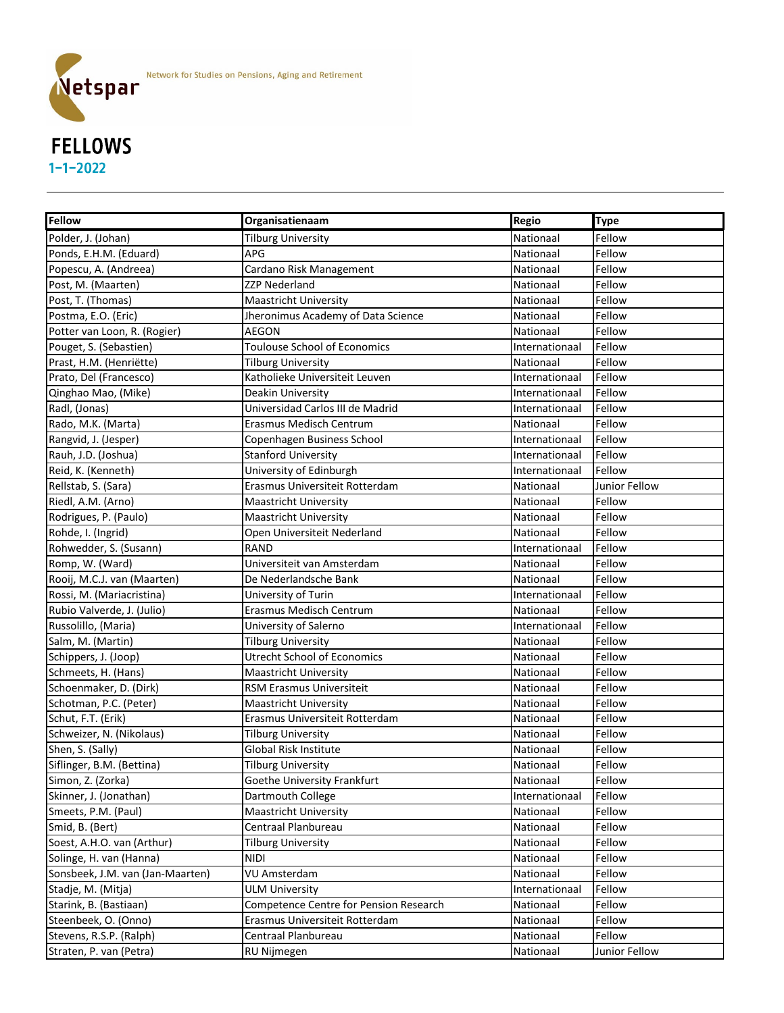

### FELLOWS 1-1-2022

| <b>Fellow</b>                    | Organisatienaam                        | <b>Regio</b>   | <b>Type</b>   |
|----------------------------------|----------------------------------------|----------------|---------------|
| Polder, J. (Johan)               | <b>Tilburg University</b>              | Nationaal      | Fellow        |
| Ponds, E.H.M. (Eduard)           | APG                                    | Nationaal      | Fellow        |
| Popescu, A. (Andreea)            | Cardano Risk Management                | Nationaal      | Fellow        |
| Post, M. (Maarten)               | <b>ZZP Nederland</b>                   | Nationaal      | Fellow        |
| Post, T. (Thomas)                | <b>Maastricht University</b>           | Nationaal      | Fellow        |
| Postma, E.O. (Eric)              | Jheronimus Academy of Data Science     | Nationaal      | Fellow        |
| Potter van Loon, R. (Rogier)     | <b>AEGON</b>                           | Nationaal      | Fellow        |
| Pouget, S. (Sebastien)           | <b>Toulouse School of Economics</b>    | Internationaal | Fellow        |
| Prast, H.M. (Henriëtte)          | <b>Tilburg University</b>              | Nationaal      | Fellow        |
| Prato, Del (Francesco)           | Katholieke Universiteit Leuven         | Internationaal | Fellow        |
| Qinghao Mao, (Mike)              | Deakin University                      | Internationaal | Fellow        |
| Radl, (Jonas)                    | Universidad Carlos III de Madrid       | Internationaal | Fellow        |
| Rado, M.K. (Marta)               | <b>Erasmus Medisch Centrum</b>         | Nationaal      | Fellow        |
| Rangvid, J. (Jesper)             | Copenhagen Business School             | Internationaal | Fellow        |
| Rauh, J.D. (Joshua)              | <b>Stanford University</b>             | Internationaal | Fellow        |
| Reid, K. (Kenneth)               | University of Edinburgh                | Internationaal | Fellow        |
| Rellstab, S. (Sara)              | Erasmus Universiteit Rotterdam         | Nationaal      | Junior Fellow |
| Riedl, A.M. (Arno)               | <b>Maastricht University</b>           | Nationaal      | Fellow        |
| Rodrigues, P. (Paulo)            | <b>Maastricht University</b>           | Nationaal      | Fellow        |
| Rohde, I. (Ingrid)               | Open Universiteit Nederland            | Nationaal      | Fellow        |
| Rohwedder, S. (Susann)           | <b>RAND</b>                            | Internationaal | Fellow        |
| Romp, W. (Ward)                  | Universiteit van Amsterdam             | Nationaal      | Fellow        |
| Rooij, M.C.J. van (Maarten)      | De Nederlandsche Bank                  | Nationaal      | Fellow        |
| Rossi, M. (Mariacristina)        | University of Turin                    | Internationaal | Fellow        |
| Rubio Valverde, J. (Julio)       | Erasmus Medisch Centrum                | Nationaal      | Fellow        |
| Russolillo, (Maria)              | University of Salerno                  | Internationaal | Fellow        |
| Salm, M. (Martin)                | <b>Tilburg University</b>              | Nationaal      | Fellow        |
| Schippers, J. (Joop)             | <b>Utrecht School of Economics</b>     | Nationaal      | Fellow        |
| Schmeets, H. (Hans)              | <b>Maastricht University</b>           | Nationaal      | Fellow        |
| Schoenmaker, D. (Dirk)           | RSM Erasmus Universiteit               | Nationaal      | Fellow        |
| Schotman, P.C. (Peter)           | <b>Maastricht University</b>           | Nationaal      | Fellow        |
| Schut, F.T. (Erik)               | Erasmus Universiteit Rotterdam         | Nationaal      | Fellow        |
| Schweizer, N. (Nikolaus)         | <b>Tilburg University</b>              | Nationaal      | Fellow        |
| Shen, S. (Sally)                 | <b>Global Risk Institute</b>           | Nationaal      | Fellow        |
| Siflinger, B.M. (Bettina)        | <b>Tilburg University</b>              | Nationaal      | Fellow        |
| Simon, Z. (Zorka)                | Goethe University Frankfurt            | Nationaal      | Fellow        |
| Skinner, J. (Jonathan)           | Dartmouth College                      | Internationaal | Fellow        |
| Smeets, P.M. (Paul)              | Maastricht University                  | Nationaal      | Fellow        |
| Smid, B. (Bert)                  | Centraal Planbureau                    | Nationaal      | Fellow        |
| Soest, A.H.O. van (Arthur)       | <b>Tilburg University</b>              | Nationaal      | Fellow        |
| Solinge, H. van (Hanna)          | <b>NIDI</b>                            | Nationaal      | Fellow        |
| Sonsbeek, J.M. van (Jan-Maarten) | <b>VU Amsterdam</b>                    | Nationaal      | Fellow        |
| Stadje, M. (Mitja)               | <b>ULM University</b>                  | Internationaal | Fellow        |
| Starink, B. (Bastiaan)           | Competence Centre for Pension Research | Nationaal      | Fellow        |
| Steenbeek, O. (Onno)             | Erasmus Universiteit Rotterdam         | Nationaal      | Fellow        |
| Stevens, R.S.P. (Ralph)          | Centraal Planbureau                    | Nationaal      | Fellow        |
| Straten, P. van (Petra)          | RU Nijmegen                            | Nationaal      | Junior Fellow |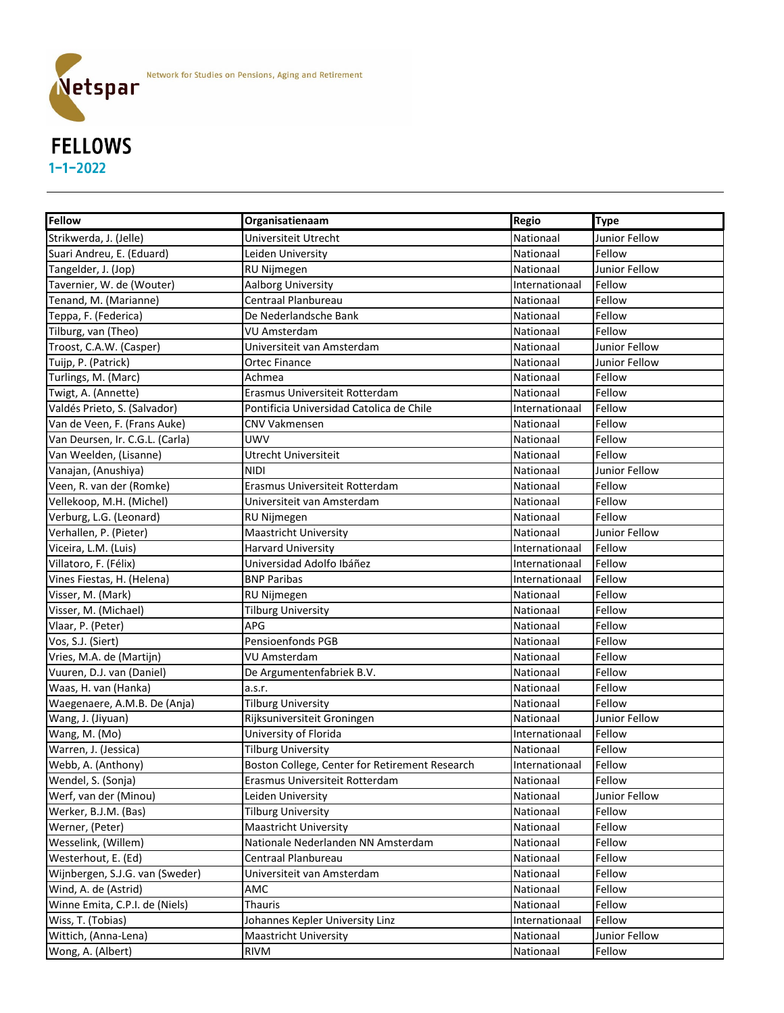

#### **Fellow Constructionary <b>Constructional Regio Type** Strikwerda, J. (Jelle) **Exercisia Exercise Contract Utrecht** Nationaal Dunior Fellow Suari Andreu, E. (Eduard) **Leiden University** Nationaal Rellow Tangelder, J. (Jop) **RU Nijmegen** Ru Rijmegen Nationaal Junior Fellow Tavernier, W. de (Wouter) **Aalborg University** Internationaal Fellow **Internationaal** Fellow Tenand, M. (Marianne) |Centraal Planbureau |Nationaal |Fellow Teppa, F. (Federica) De Nederlandsche Bank Nationaal Fellow Tilburg, van (Theo) **Nationaal Communisties (VIIII)** Amsterdam Nationaal Pellow Rationaal Fellow Troost, C.A.W. (Casper) **Nationaal Washington Controller View American** Mationaal Dunior Fellow Tuijp, P. (Patrick) Nationaal Discovery of Contract Finance Contract Contract Contract Anationaal Junior Fellow Turlings, M. (Marc) **Achmea Nationaal Achmea Nationaal Fellow** Nationaal Fellow Twigt, A. (Annette) **Examus Universiteit Rotterdam** Nationaal Fellow Valdés Prieto, S. (Salvador) Pontificia Universidad Catolica de Chile **Internationaal Fellow** Valdés Prietonaal Fellow Van de Veen, F. (Frans Auke) CNV Vakmensen Nationaal Fellow Van Deursen, Ir. C.G.L. (Carla) UWV Nationaal Fellow Van Weelden, (Lisanne) **Wan Weelden, (Lisanne)** Utrecht Universiteit Nationaal Hellow Vanajan, (Anushiya) NIDI NIDI NATION NATIONAL DI NATIONAAL DI NATIONAAL DI Junior Fellow Veen, R. van der (Romke) **Example 19 (Steiner Veen, Anationaal Fellow** Nationaal Fellow Vellekoop, M.H. (Michel) **Nationaal Controllektivan** Amsterdam Nationaal Pellow Verburg, L.G. (Leonard) |RU Nijmegen |Nationaal |Fellow Verhallen, P. (Pieter) **Maastricht University** Nationaal Junior Fellow Nationaal Junior Fellow Viceira, L.M. (Luis) **Harvard University Internationaal Fellow** Internationaal Fellow Villatoro, F. (Félix) Universidad Adolfo Ibáñez Internationaal Fellow Vines Fiestas, H. (Helena) BNP Paribas Internationaal Fellow Visser, M. (Mark) Nationaal RU Nijmegen Ruisser, M. (Mationaal Fellow Visser, M. (Michael) **Nationaal Communisty** Tilburg University Nationaal Rellow Vlaar, P. (Peter) **APG** APG Nationaal Fellow Vos, S.J. (Siert) **Pensioenfonds PGB** Nationaal Fellow Vries, M.A. de (Martijn) November 1988 | VU Amsterdam Nationaal Nationaal Pellow Vuuren, D.J. van (Daniel) **De Argumentenfabriek B.V.** Nationaal Fellow Waas, H. van (Hanka) a.s.r. Nationaal Fellow Waegenaere, A.M.B. De (Anja) **Tilburg University** Nationaal Rellow Wang, J. (Jiyuan) Nationaal Rijksuniversiteit Groningen Nationaal Junior Fellow Wang, M. (Mo) **Internationaal Communisty of Florida** Internationaal Fellow Warren, J. (Jessica) **Tilburg University** Nationaal Fellow Religious Religious Religious Religious Religious Reli Webb, A. (Anthony) **Boston College, Center for Retirement Research** | Internationaal | Fellow Wendel, S. (Sonja) **Example 19 Example 1** Erasmus Universiteit Rotterdam Nationaal Pellow Werf, van der (Minou) Nationaal Deiden University Nationaal Hunior Fellow Nationaal Dunior Fellow Werker, B.J.M. (Bas) |Tilburg University |Nationaal |Fellow Werner, (Peter) **Maastricht University** Nationaal Fellow Nationaal Fellow Wesselink, (Willem) Nationale Nederlanden NN Amsterdam Nationaal Fellow Westerhout, E. (Ed) Centraal Planbureau Nationaal Fellow

Wijnbergen, S.J.G. van (Sweder) Villauiteit van Amsterdam Nationaal Pellow Wind, A. de (Astrid) **AMC** AMC Nationaal Fellow Reserves the Second Second AMC Nationaal Fellow Winne Emita, C.P.I. de (Niels) **Thauris** Theory Communicationaal Fellow Wiss, T. (Tobias) **South Americ Accords** Johannes Kepler University Linz **Internationaal | Fellow** 

Wong, A. (Albert) RIVM Nationaal Fellow

Wittich, (Anna-Lena) **Maastricht University** Nationaal Junior Fellow Nationaal Junior Fellow